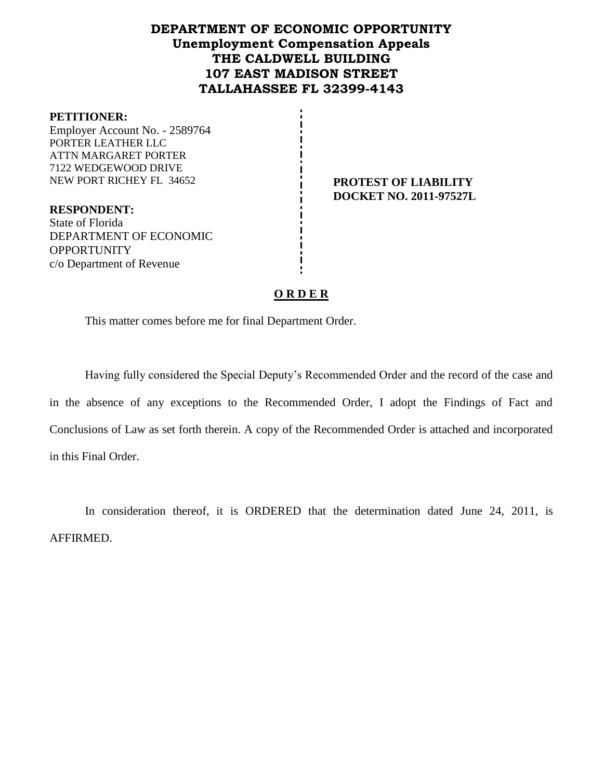## **DEPARTMENT OF ECONOMIC OPPORTUNITY Unemployment Compensation Appeals THE CALDWELL BUILDING 107 EAST MADISON STREET TALLAHASSEE FL 32399-4143**

#### **PETITIONER:**

Employer Account No. - 2589764 PORTER LEATHER LLC ATTN MARGARET PORTER 7122 WEDGEWOOD DRIVE NEW PORT RICHEY FL 34652 **PROTEST OF LIABILITY**

**DOCKET NO. 2011-97527L**

**RESPONDENT:** State of Florida DEPARTMENT OF ECONOMIC **OPPORTUNITY** c/o Department of Revenue

### **O R D E R**

This matter comes before me for final Department Order.

Having fully considered the Special Deputy's Recommended Order and the record of the case and in the absence of any exceptions to the Recommended Order, I adopt the Findings of Fact and Conclusions of Law as set forth therein. A copy of the Recommended Order is attached and incorporated in this Final Order.

In consideration thereof, it is ORDERED that the determination dated June 24, 2011, is AFFIRMED.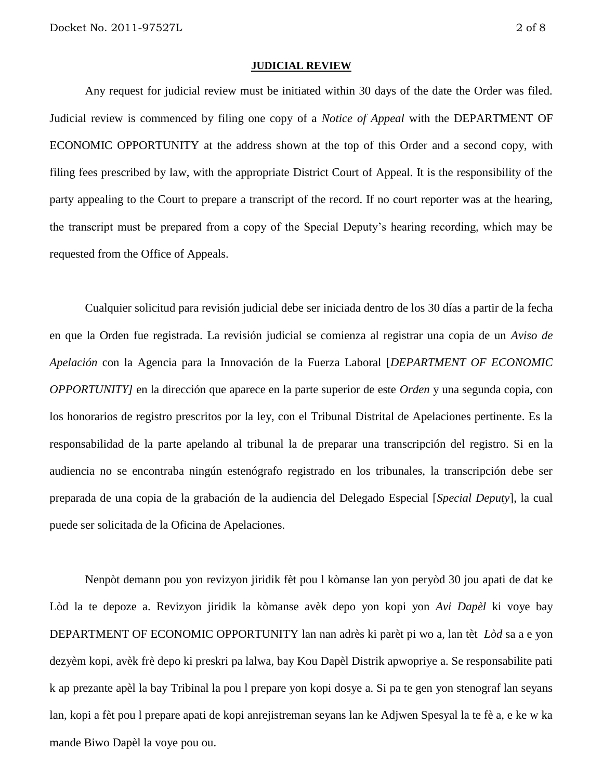#### **JUDICIAL REVIEW**

Any request for judicial review must be initiated within 30 days of the date the Order was filed. Judicial review is commenced by filing one copy of a *Notice of Appeal* with the DEPARTMENT OF ECONOMIC OPPORTUNITY at the address shown at the top of this Order and a second copy, with filing fees prescribed by law, with the appropriate District Court of Appeal. It is the responsibility of the party appealing to the Court to prepare a transcript of the record. If no court reporter was at the hearing, the transcript must be prepared from a copy of the Special Deputy's hearing recording, which may be requested from the Office of Appeals.

Cualquier solicitud para revisión judicial debe ser iniciada dentro de los 30 días a partir de la fecha en que la Orden fue registrada. La revisión judicial se comienza al registrar una copia de un *Aviso de Apelación* con la Agencia para la Innovación de la Fuerza Laboral [*DEPARTMENT OF ECONOMIC OPPORTUNITY]* en la dirección que aparece en la parte superior de este *Orden* y una segunda copia, con los honorarios de registro prescritos por la ley, con el Tribunal Distrital de Apelaciones pertinente. Es la responsabilidad de la parte apelando al tribunal la de preparar una transcripción del registro. Si en la audiencia no se encontraba ningún estenógrafo registrado en los tribunales, la transcripción debe ser preparada de una copia de la grabación de la audiencia del Delegado Especial [*Special Deputy*], la cual puede ser solicitada de la Oficina de Apelaciones.

Nenpòt demann pou yon revizyon jiridik fèt pou l kòmanse lan yon peryòd 30 jou apati de dat ke Lòd la te depoze a. Revizyon jiridik la kòmanse avèk depo yon kopi yon *Avi Dapèl* ki voye bay DEPARTMENT OF ECONOMIC OPPORTUNITY lan nan adrès ki parèt pi wo a, lan tèt *Lòd* sa a e yon dezyèm kopi, avèk frè depo ki preskri pa lalwa, bay Kou Dapèl Distrik apwopriye a. Se responsabilite pati k ap prezante apèl la bay Tribinal la pou l prepare yon kopi dosye a. Si pa te gen yon stenograf lan seyans lan, kopi a fèt pou l prepare apati de kopi anrejistreman seyans lan ke Adjwen Spesyal la te fè a, e ke w ka mande Biwo Dapèl la voye pou ou.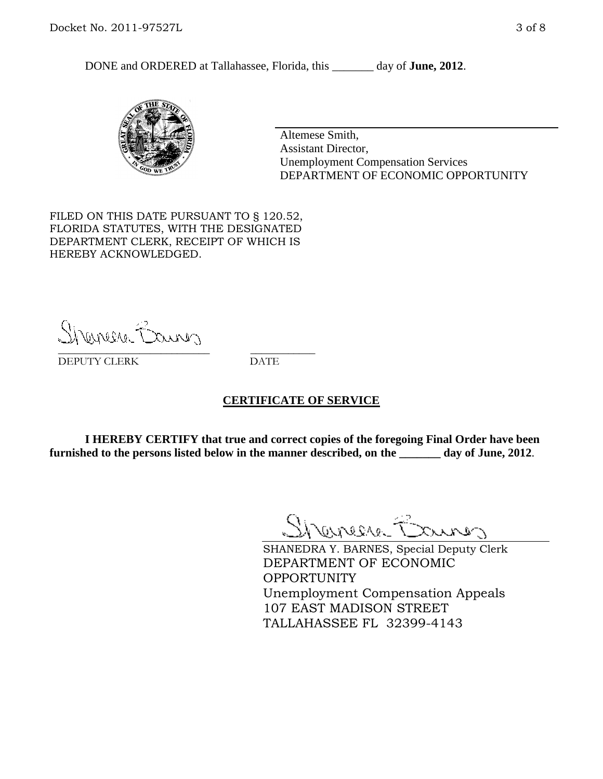DONE and ORDERED at Tallahassee, Florida, this day of **June, 2012**.



Altemese Smith, Assistant Director, Unemployment Compensation Services DEPARTMENT OF ECONOMIC OPPORTUNITY

FILED ON THIS DATE PURSUANT TO § 120.52, FLORIDA STATUTES, WITH THE DESIGNATED DEPARTMENT CLERK, RECEIPT OF WHICH IS HEREBY ACKNOWLEDGED.

Shenere Causes \_\_\_\_\_\_\_\_\_\_\_\_\_\_\_\_\_\_\_\_\_\_\_\_\_\_\_\_ \_\_\_\_\_\_\_\_\_\_\_\_

DEPUTY CLERK DATE

### **CERTIFICATE OF SERVICE**

**I HEREBY CERTIFY that true and correct copies of the foregoing Final Order have been furnished to the persons listed below in the manner described, on the \_\_\_\_\_\_\_ day of June, 2012**.

Shaner Barnes

SHANEDRA Y. BARNES, Special Deputy Clerk DEPARTMENT OF ECONOMIC OPPORTUNITY Unemployment Compensation Appeals 107 EAST MADISON STREET TALLAHASSEE FL 32399-4143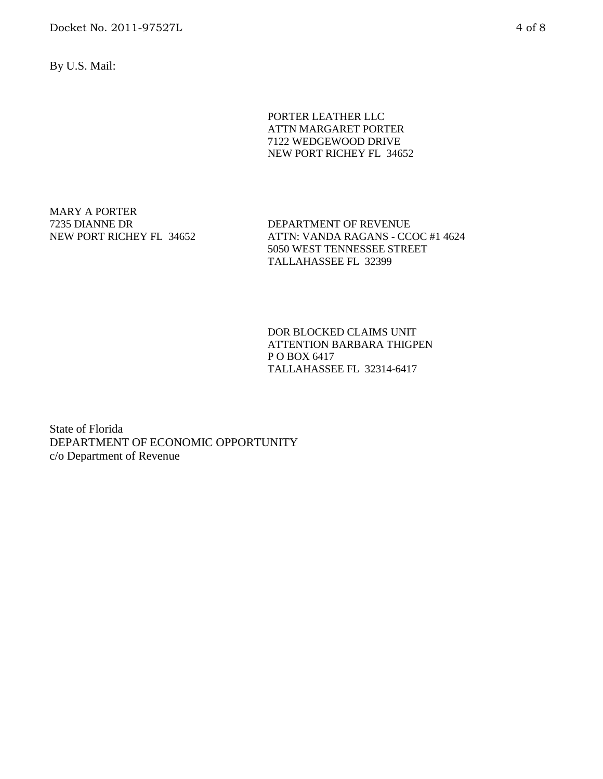Docket No. 2011-97527L 4 of 8

By U.S. Mail:

PORTER LEATHER LLC ATTN MARGARET PORTER 7122 WEDGEWOOD DRIVE NEW PORT RICHEY FL 34652

MARY A PORTER 7235 DIANNE DR NEW PORT RICHEY FL 34652

DEPARTMENT OF REVENUE ATTN: VANDA RAGANS - CCOC #1 4624 5050 WEST TENNESSEE STREET TALLAHASSEE FL 32399

DOR BLOCKED CLAIMS UNIT ATTENTION BARBARA THIGPEN P O BOX 6417 TALLAHASSEE FL 32314-6417

State of Florida DEPARTMENT OF ECONOMIC OPPORTUNITY c/o Department of Revenue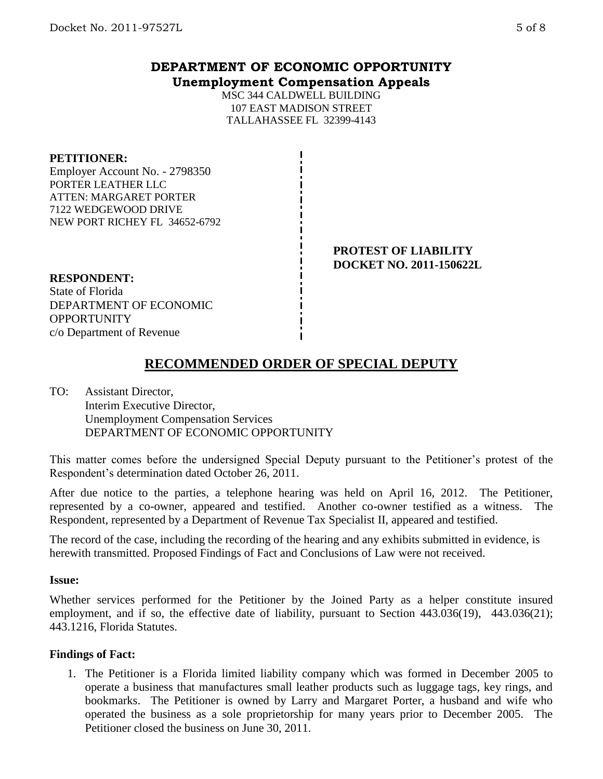## **DEPARTMENT OF ECONOMIC OPPORTUNITY Unemployment Compensation Appeals**

MSC 344 CALDWELL BUILDING 107 EAST MADISON STREET TALLAHASSEE FL 32399-4143

### **PETITIONER:**

Employer Account No. - 2798350 PORTER LEATHER LLC ATTEN: MARGARET PORTER 7122 WEDGEWOOD DRIVE NEW PORT RICHEY FL 34652-6792

> **PROTEST OF LIABILITY DOCKET NO. 2011-150622L**

# **RESPONDENT:**

State of Florida DEPARTMENT OF ECONOMIC **OPPORTUNITY** c/o Department of Revenue

# **RECOMMENDED ORDER OF SPECIAL DEPUTY**

TO: Assistant Director, Interim Executive Director, Unemployment Compensation Services DEPARTMENT OF ECONOMIC OPPORTUNITY

This matter comes before the undersigned Special Deputy pursuant to the Petitioner's protest of the Respondent's determination dated October 26, 2011.

After due notice to the parties, a telephone hearing was held on April 16, 2012. The Petitioner, represented by a co-owner, appeared and testified. Another co-owner testified as a witness. The Respondent, represented by a Department of Revenue Tax Specialist II, appeared and testified.

The record of the case, including the recording of the hearing and any exhibits submitted in evidence, is herewith transmitted. Proposed Findings of Fact and Conclusions of Law were not received.

### **Issue:**

Whether services performed for the Petitioner by the Joined Party as a helper constitute insured employment, and if so, the effective date of liability, pursuant to Section 443.036(19), 443.036(21); 443.1216, Florida Statutes.

### **Findings of Fact:**

1. The Petitioner is a Florida limited liability company which was formed in December 2005 to operate a business that manufactures small leather products such as luggage tags, key rings, and bookmarks. The Petitioner is owned by Larry and Margaret Porter, a husband and wife who operated the business as a sole proprietorship for many years prior to December 2005. The Petitioner closed the business on June 30, 2011.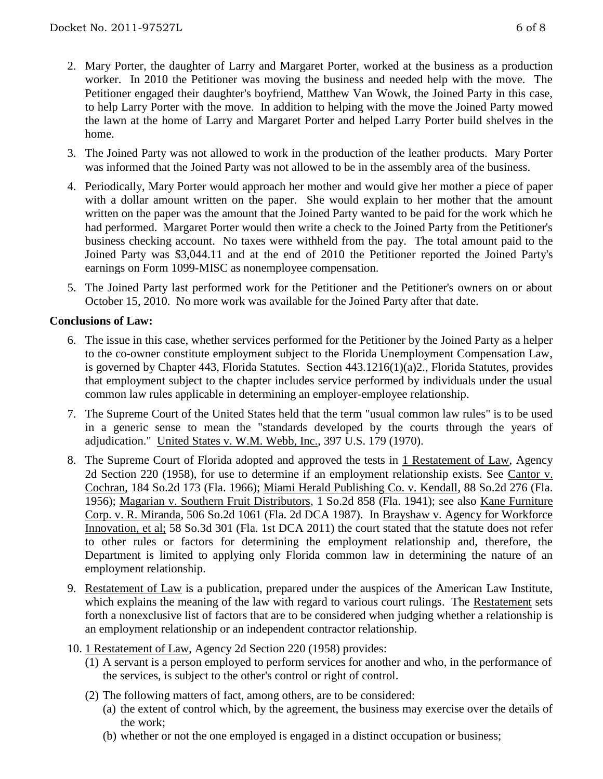- 2. Mary Porter, the daughter of Larry and Margaret Porter, worked at the business as a production worker. In 2010 the Petitioner was moving the business and needed help with the move. The Petitioner engaged their daughter's boyfriend, Matthew Van Wowk, the Joined Party in this case, to help Larry Porter with the move. In addition to helping with the move the Joined Party mowed the lawn at the home of Larry and Margaret Porter and helped Larry Porter build shelves in the home.
- 3. The Joined Party was not allowed to work in the production of the leather products. Mary Porter was informed that the Joined Party was not allowed to be in the assembly area of the business.
- 4. Periodically, Mary Porter would approach her mother and would give her mother a piece of paper with a dollar amount written on the paper. She would explain to her mother that the amount written on the paper was the amount that the Joined Party wanted to be paid for the work which he had performed. Margaret Porter would then write a check to the Joined Party from the Petitioner's business checking account. No taxes were withheld from the pay. The total amount paid to the Joined Party was \$3,044.11 and at the end of 2010 the Petitioner reported the Joined Party's earnings on Form 1099-MISC as nonemployee compensation.
- 5. The Joined Party last performed work for the Petitioner and the Petitioner's owners on or about October 15, 2010. No more work was available for the Joined Party after that date.

### **Conclusions of Law:**

- 6. The issue in this case, whether services performed for the Petitioner by the Joined Party as a helper to the co-owner constitute employment subject to the Florida Unemployment Compensation Law, is governed by Chapter 443, Florida Statutes. Section 443.1216(1)(a)2., Florida Statutes, provides that employment subject to the chapter includes service performed by individuals under the usual common law rules applicable in determining an employer-employee relationship.
- 7. The Supreme Court of the United States held that the term "usual common law rules" is to be used in a generic sense to mean the "standards developed by the courts through the years of adjudication." United States v. W.M. Webb, Inc., 397 U.S. 179 (1970).
- 8. The Supreme Court of Florida adopted and approved the tests in 1 Restatement of Law, Agency 2d Section 220 (1958), for use to determine if an employment relationship exists. See Cantor v. Cochran, 184 So.2d 173 (Fla. 1966); Miami Herald Publishing Co. v. Kendall, 88 So.2d 276 (Fla. 1956); Magarian v. Southern Fruit Distributors, 1 So.2d 858 (Fla. 1941); see also Kane Furniture Corp. v. R. Miranda, 506 So.2d 1061 (Fla. 2d DCA 1987). In Brayshaw v. Agency for Workforce Innovation, et al; 58 So.3d 301 (Fla. 1st DCA 2011) the court stated that the statute does not refer to other rules or factors for determining the employment relationship and, therefore, the Department is limited to applying only Florida common law in determining the nature of an employment relationship.
- 9. Restatement of Law is a publication, prepared under the auspices of the American Law Institute, which explains the meaning of the law with regard to various court rulings. The Restatement sets forth a nonexclusive list of factors that are to be considered when judging whether a relationship is an employment relationship or an independent contractor relationship.
- 10. 1 Restatement of Law, Agency 2d Section 220 (1958) provides:
	- (1) A servant is a person employed to perform services for another and who, in the performance of the services, is subject to the other's control or right of control.
	- (2) The following matters of fact, among others, are to be considered:
		- (a) the extent of control which, by the agreement, the business may exercise over the details of the work;
		- (b) whether or not the one employed is engaged in a distinct occupation or business;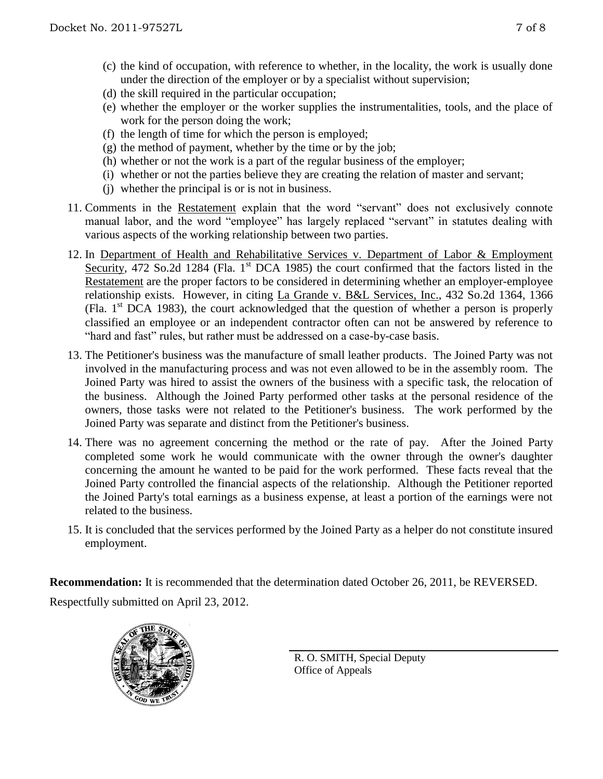- (c) the kind of occupation, with reference to whether, in the locality, the work is usually done under the direction of the employer or by a specialist without supervision;
- (d) the skill required in the particular occupation;
- (e) whether the employer or the worker supplies the instrumentalities, tools, and the place of work for the person doing the work;
- (f) the length of time for which the person is employed;
- $(g)$  the method of payment, whether by the time or by the job;
- (h) whether or not the work is a part of the regular business of the employer;
- (i) whether or not the parties believe they are creating the relation of master and servant;
- (j) whether the principal is or is not in business.
- 11. Comments in the Restatement explain that the word "servant" does not exclusively connote manual labor, and the word "employee" has largely replaced "servant" in statutes dealing with various aspects of the working relationship between two parties.
- 12. In Department of Health and Rehabilitative Services v. Department of Labor & Employment Security, 472 So.2d 1284 (Fla. 1<sup>st</sup> DCA 1985) the court confirmed that the factors listed in the Restatement are the proper factors to be considered in determining whether an employer-employee relationship exists. However, in citing La Grande v. B&L Services, Inc., 432 So.2d 1364, 1366 (Fla.  $1<sup>st</sup> DCA$  1983), the court acknowledged that the question of whether a person is properly classified an employee or an independent contractor often can not be answered by reference to "hard and fast" rules, but rather must be addressed on a case-by-case basis.
- 13. The Petitioner's business was the manufacture of small leather products. The Joined Party was not involved in the manufacturing process and was not even allowed to be in the assembly room. The Joined Party was hired to assist the owners of the business with a specific task, the relocation of the business. Although the Joined Party performed other tasks at the personal residence of the owners, those tasks were not related to the Petitioner's business. The work performed by the Joined Party was separate and distinct from the Petitioner's business.
- 14. There was no agreement concerning the method or the rate of pay. After the Joined Party completed some work he would communicate with the owner through the owner's daughter concerning the amount he wanted to be paid for the work performed. These facts reveal that the Joined Party controlled the financial aspects of the relationship. Although the Petitioner reported the Joined Party's total earnings as a business expense, at least a portion of the earnings were not related to the business.
- 15. It is concluded that the services performed by the Joined Party as a helper do not constitute insured employment.

**Recommendation:** It is recommended that the determination dated October 26, 2011, be REVERSED. Respectfully submitted on April 23, 2012.



R. O. SMITH, Special Deputy Office of Appeals